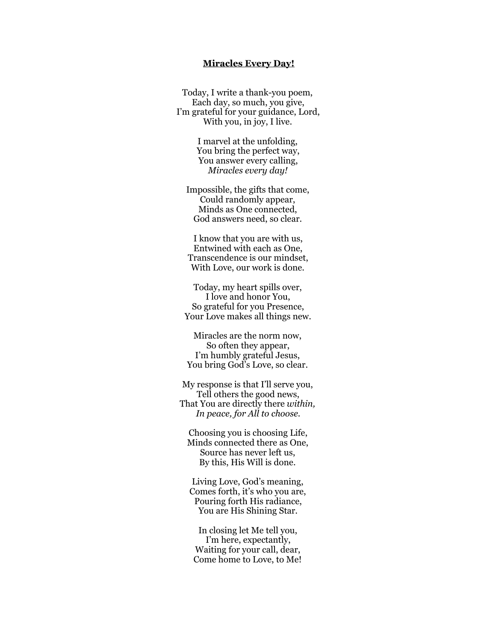## **Miracles Every Day!**

Today, I write a thank-you poem, Each day, so much, you give, I'm grateful for your guidance, Lord, With you, in joy, I live.

> I marvel at the unfolding, You bring the perfect way, You answer every calling, *Miracles every day!*

Impossible, the gifts that come, Could randomly appear, Minds as One connected, God answers need, so clear.

I know that you are with us, Entwined with each as One, Transcendence is our mindset, With Love, our work is done.

Today, my heart spills over, I love and honor You, So grateful for you Presence, Your Love makes all things new.

Miracles are the norm now, So often they appear, I'm humbly grateful Jesus, You bring God's Love, so clear.

My response is that I'll serve you, Tell others the good news, That You are directly there *within, In peace, for All to choose.* 

Choosing you is choosing Life, Minds connected there as One, Source has never left us, By this, His Will is done.

Living Love, God's meaning, Comes forth, it's who you are, Pouring forth His radiance, You are His Shining Star.

In closing let Me tell you, I'm here, expectantly, Waiting for your call, dear, Come home to Love, to Me!